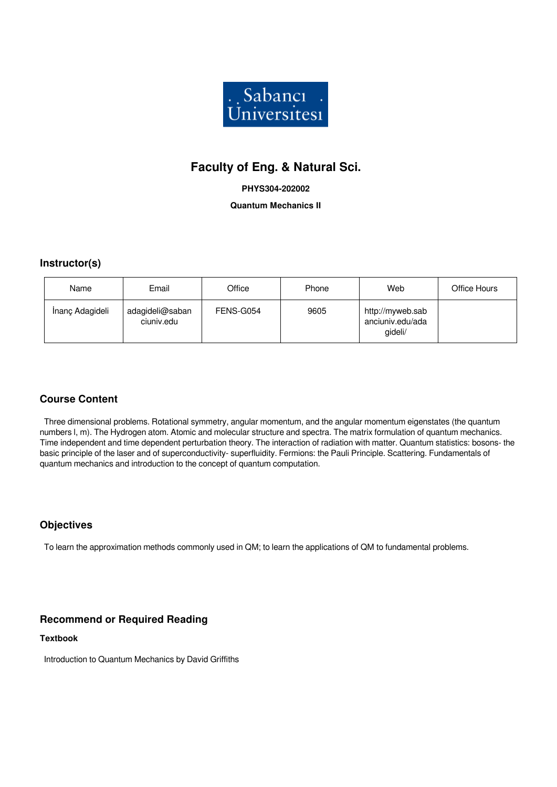

# **Faculty of Eng. & Natural Sci.**

**PHYS304-202002**

**Quantum Mechanics II**

## **Instructor(s)**

| Name            | Email                         | Office    | Phone | Web                                             | Office Hours |
|-----------------|-------------------------------|-----------|-------|-------------------------------------------------|--------------|
| İnanç Adagideli | adagideli@saban<br>ciuniv.edu | FENS-G054 | 9605  | http://myweb.sab<br>anciuniv.edu/ada<br>gideli/ |              |

# **Course Content**

 Three dimensional problems. Rotational symmetry, angular momentum, and the angular momentum eigenstates (the quantum numbers l, m). The Hydrogen atom. Atomic and molecular structure and spectra. The matrix formulation of quantum mechanics. Time independent and time dependent perturbation theory. The interaction of radiation with matter. Quantum statistics: bosons- the basic principle of the laser and of superconductivity- superfluidity. Fermions: the Pauli Principle. Scattering. Fundamentals of quantum mechanics and introduction to the concept of quantum computation.

# **Objectives**

To learn the approximation methods commonly used in QM; to learn the applications of QM to fundamental problems.

## **Recommend or Required Reading**

**Textbook**

Introduction to Quantum Mechanics by David Griffiths